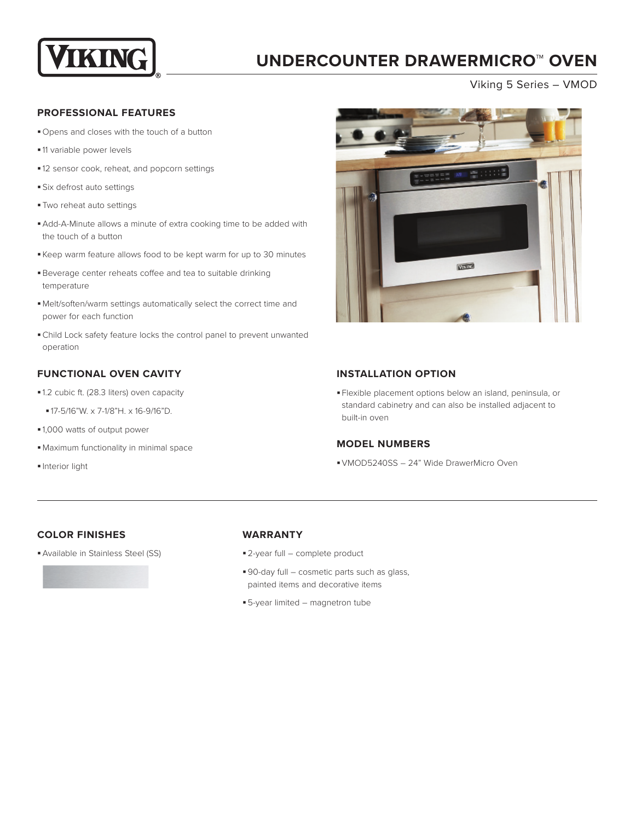

## **UNDERCOUNTER DRAWERMICRO™ OVEN**

Viking 5 Series – VMOD

#### **PROFESSIONAL FEATURES**

- § Opens and closes with the touch of a button
- § 11 variable power levels
- § 12 sensor cook, reheat, and popcorn settings
- § Six defrost auto settings
- § Two reheat auto settings
- Add-A-Minute allows a minute of extra cooking time to be added with the touch of a button
- § Keep warm feature allows food to be kept warm for up to 30 minutes
- § Beverage center reheats coffee and tea to suitable drinking temperature
- §Melt/soften/warm settings automatically select the correct time and power for each function
- §Child Lock safety feature locks the control panel to prevent unwanted operation

## **FUNCTIONAL OVEN CAVITY**

- § 1.2 cubic ft. (28.3 liters) oven capacity
	- § 17-5/16"W. x 7-1/8"H. x 16-9/16"D.
- § 1,000 watts of output power
- §Maximum functionality in minimal space
- § Interior light



### **INSTALLATION OPTION**

§ Flexible placement options below an island, peninsula, or standard cabinetry and can also be installed adjacent to built-in oven

### **MODEL NUMBERS**

§VMOD5240SS – 24" Wide DrawerMicro Oven

### **COLOR FINISHES**

§Available in Stainless Steel (SS)

#### **WARRANTY**

- § 2-year full complete product
- 90-day full cosmetic parts such as glass, painted items and decorative items
- § 5-year limited magnetron tube